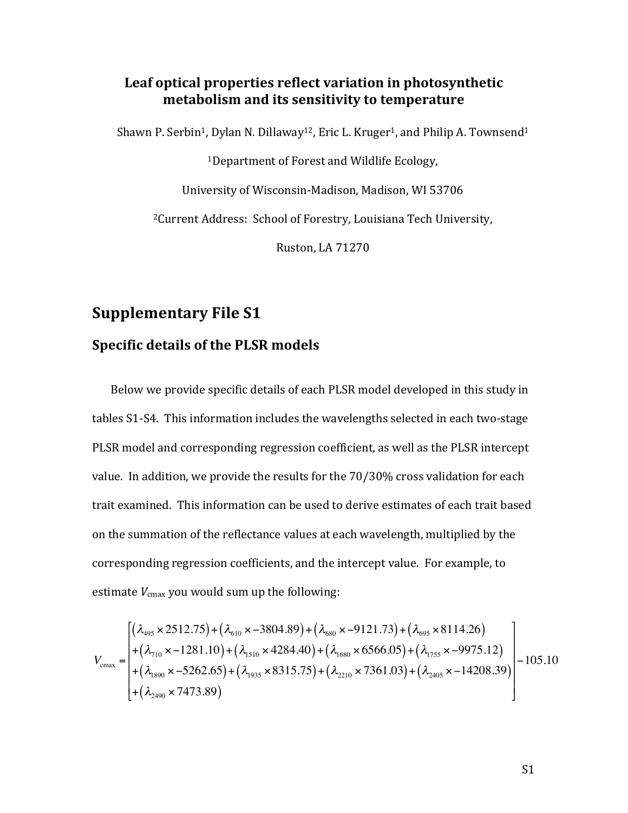### Leaf optical properties reflect variation in photosynthetic metabolism and its sensitivity to temperature

Shawn P. Serbin<sup>1</sup>, Dylan N. Dillaway<sup>12</sup>, Eric L. Kruger<sup>1</sup>, and Philip A. Townsend<sup>1</sup>

<sup>1</sup>Department of Forest and Wildlife Ecology,

University of Wisconsin-Madison, Madison, WI 53706

<sup>2</sup>Current Address: School of Forestry, Louisiana Tech University,

Ruston, LA 71270

### **Supplementary File S1**

#### **Specific details of the PLSR models**

Below we provide specific details of each PLSR model developed in this study in tables S1-S4. This information includes the wavelengths selected in each two-stage PLSR model and corresponding regression coefficient, as well as the PLSR intercept value. In addition, we provide the results for the 70/30% cross validation for each trait examined. This information can be used to derive estimates of each trait based on the summation of the reflectance values at each wavelength, multiplied by the corresponding regression coefficients, and the intercept value. For example, to estimate  $V_{\text{cmax}}$  you would sum up the following:

$$
V_{\text{cmax}} = \begin{bmatrix} (\lambda_{495} \times 2512.75) + (\lambda_{610} \times -3804.89) + (\lambda_{680} \times -9121.73) + (\lambda_{695} \times 8114.26) \\ + (\lambda_{710} \times -1281.10) + (\lambda_{1510} \times 4284.40) + (\lambda_{1680} \times 6566.05) + (\lambda_{1755} \times -9975.12) \\ + (\lambda_{1890} \times -5262.65) + (\lambda_{1935} \times 8315.75) + (\lambda_{2210} \times 7361.03) + (\lambda_{2405} \times -14208.39) \\ + (\lambda_{2490} \times 7473.89) \end{bmatrix} - 105.10
$$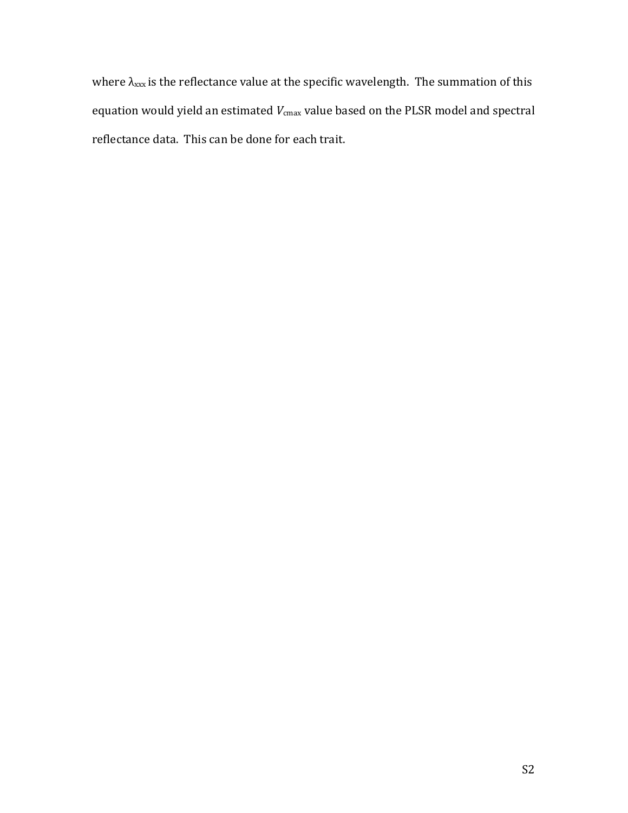where  $\lambda_{xxx}$  is the reflectance value at the specific wavelength. The summation of this equation would yield an estimated  $V_{\text{cmax}}$  value based on the PLSR model and spectral reflectance data. This can be done for each trait.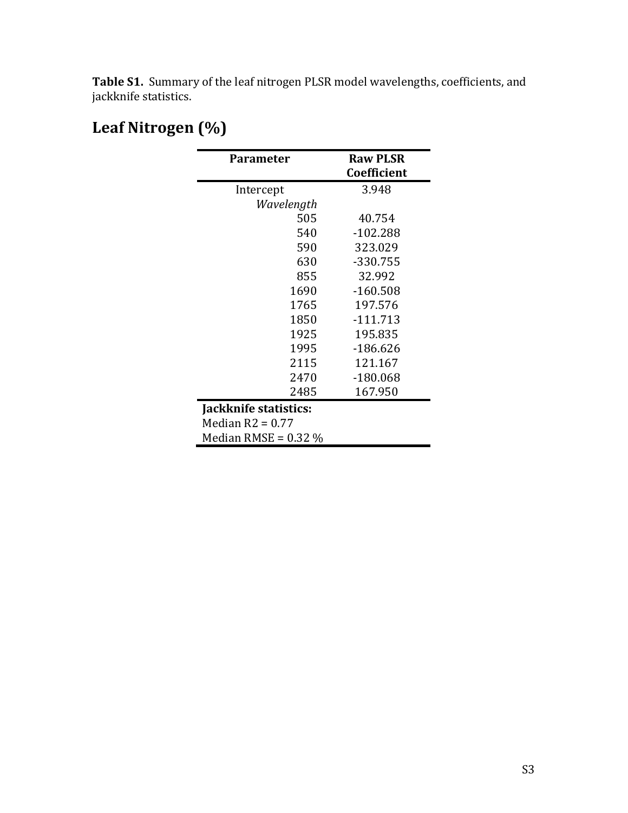Table S1. Summary of the leaf nitrogen PLSR model wavelengths, coefficients, and jackknife statistics.

# Leaf Nitrogen (%)

| <b>Parameter</b>       | <b>Raw PLSR</b> |
|------------------------|-----------------|
|                        | Coefficient     |
| Intercept              | 3.948           |
| Wavelength             |                 |
| 505                    | 40.754          |
| 540                    | $-102.288$      |
| 590                    | 323.029         |
| 630                    | -330.755        |
| 855                    | 32.992          |
| 1690                   | $-160.508$      |
| 1765                   | 197.576         |
| 1850                   | $-111.713$      |
| 1925                   | 195.835         |
| 1995                   | $-186.626$      |
| 2115                   | 121.167         |
| 2470                   | $-180.068$      |
| 2485                   | 167.950         |
| Jackknife statistics:  |                 |
| Median $R2 = 0.77$     |                 |
| Median RMSE = $0.32\%$ |                 |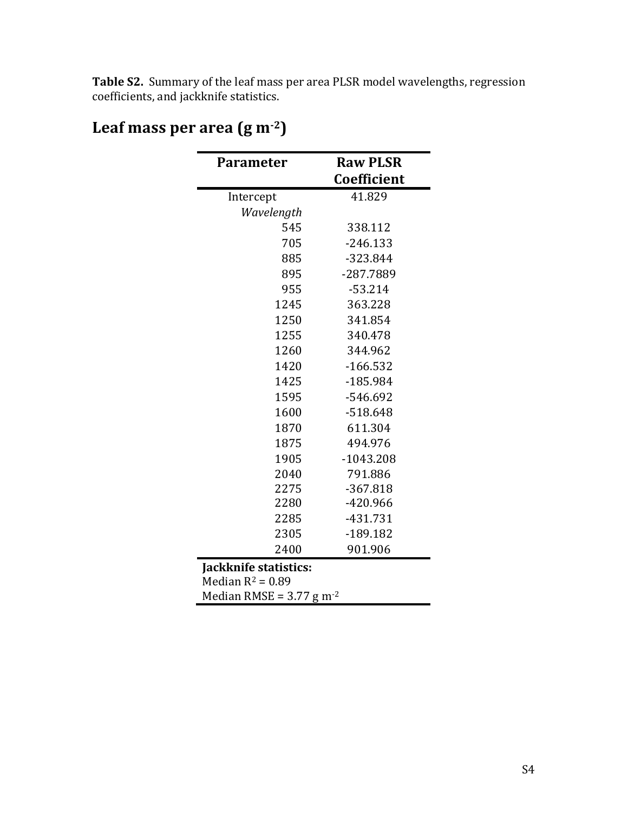Table S2. Summary of the leaf mass per area PLSR model wavelengths, regression coefficients, and jackknife statistics.

| <b>Parameter</b>                       | <b>Raw PLSR</b> |  |
|----------------------------------------|-----------------|--|
|                                        | Coefficient     |  |
| Intercept                              | 41.829          |  |
| Wavelength                             |                 |  |
| 545                                    | 338.112         |  |
| 705                                    | $-246.133$      |  |
| 885                                    | -323.844        |  |
| 895                                    | -287.7889       |  |
| 955                                    | $-53.214$       |  |
| 1245                                   | 363.228         |  |
| 1250                                   | 341.854         |  |
| 1255                                   | 340.478         |  |
| 1260                                   | 344.962         |  |
| 1420                                   | $-166.532$      |  |
| 1425                                   | $-185.984$      |  |
| 1595                                   | -546.692        |  |
| 1600                                   | $-518.648$      |  |
| 1870                                   | 611.304         |  |
| 1875                                   | 494.976         |  |
| 1905                                   | $-1043.208$     |  |
| 2040                                   | 791.886         |  |
| 2275                                   | $-367.818$      |  |
| 2280                                   | $-420.966$      |  |
| 2285                                   | $-431.731$      |  |
| 2305                                   | $-189.182$      |  |
| 2400                                   | 901.906         |  |
| Jackknife statistics:                  |                 |  |
| Median $R^2 = 0.89$                    |                 |  |
| Median RMSE = $3.77$ g m <sup>-2</sup> |                 |  |

# Leaf mass per area (g m<sup>-2</sup>)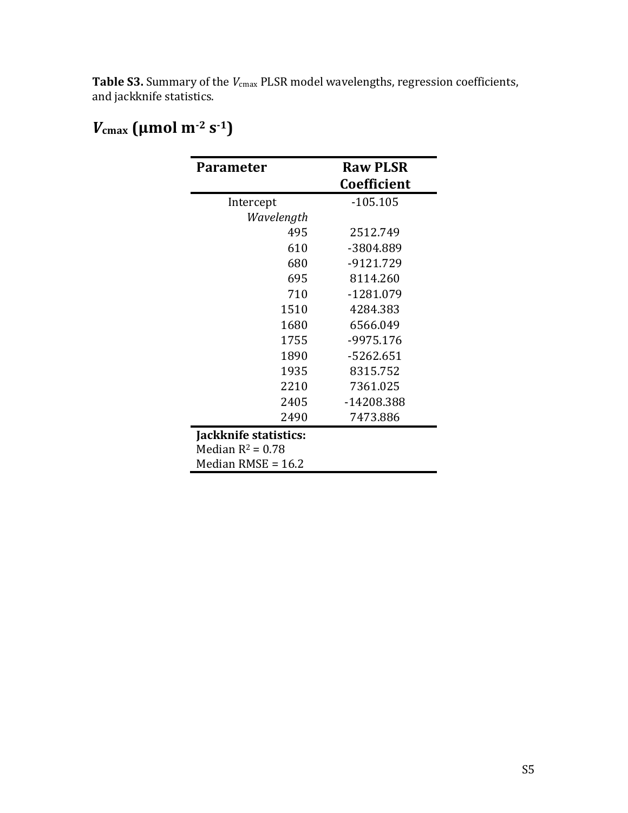**Table S3.** Summary of the  $V_{\text{cmax}}$  PLSR model wavelengths, regression coefficients, and jackknife statistics.

| Parameter             | <b>Raw PLSR</b> |  |
|-----------------------|-----------------|--|
|                       | Coefficient     |  |
| Intercept             | $-105.105$      |  |
| Wavelength            |                 |  |
| 495                   | 2512.749        |  |
| 610                   | -3804.889       |  |
| 680                   | -9121.729       |  |
| 695                   | 8114.260        |  |
| 710                   | -1281.079       |  |
| 1510                  | 4284.383        |  |
| 1680                  | 6566.049        |  |
| 1755                  | -9975.176       |  |
| 1890                  | $-5262.651$     |  |
| 1935                  | 8315.752        |  |
| 2210                  | 7361.025        |  |
| 2405                  | -14208.388      |  |
| 2490                  | 7473.886        |  |
| Jackknife statistics: |                 |  |
| Median $R^2 = 0.78$   |                 |  |
| Median $RMSE = 16.2$  |                 |  |

# *V*<sub>cmax</sub> (μmol m<sup>-2</sup> s<sup>-1</sup>)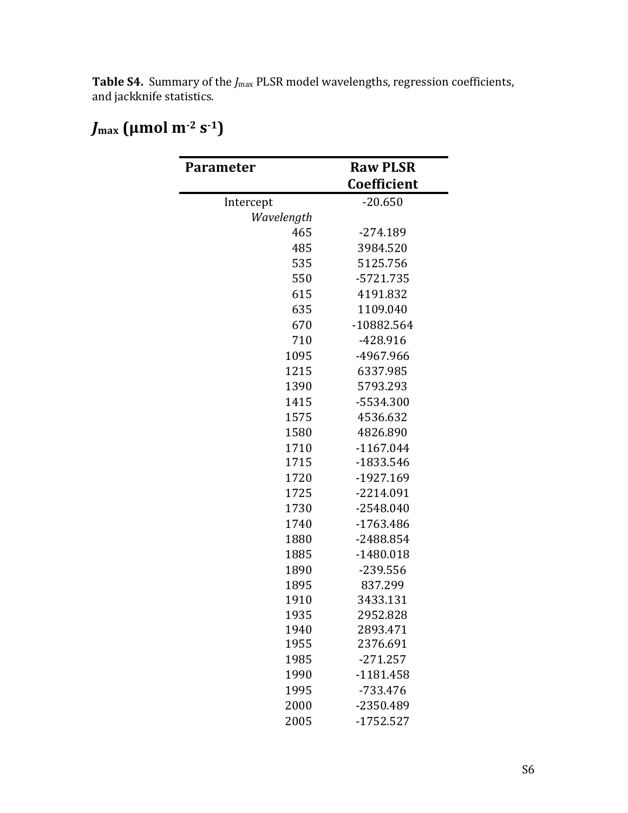Table S4. Summary of the *J*<sub>max</sub> PLSR model wavelengths, regression coefficients, and jackknife statistics.

#### **Parameter Raw PLSR Coefficient** Intercept -20.650 *Wavelength* 465 G274.189 485 3984.520 535 5125.756 550 G5721.735 615 4191.832 635 1109.040 670 G10882.564 710 G428.916 1095 -4967.966 1215 6337.985 1390 5793.293 1415 -5534.300 1575 4536.632 1580 4826.890 1710 -1167.044 1715 -1833.546 1720 -1927.169 1725 G2214.091 1730 -2548.040 1740 -1763.486 1880 -2488.854 1885 -1480.018 1890 -239.556 1895 837.299 1910 3433.131 1935 2952.828 1940 2893.471 1955 2376.691 1985 -271.257 1990 -1181.458 1995 -733.476 2000 G2350.489

2005 G1752.527

## *J***max** (μmol m<sup>-2</sup> **s**<sup>-1</sup>)